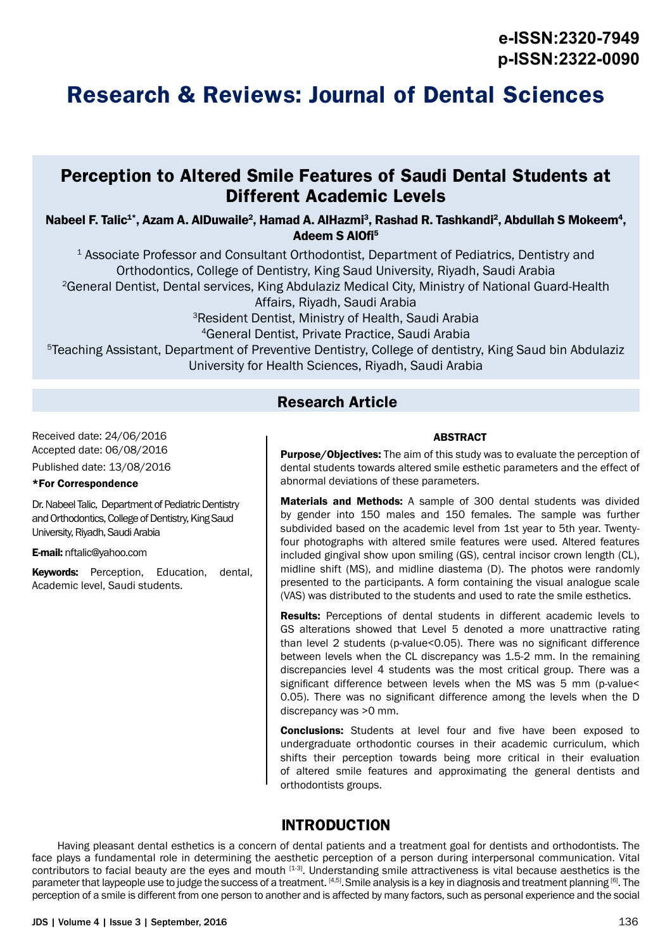# **Research & Reviews: Journal of Dental Sciences**

## **Perception to Altered Smile Features of Saudi Dental Students at Different Academic Levels**

Nabeel F. Talic $^{\text{1*}},$  Azam A. AlDuwaile $^{\text{2}},$  Hamad A. AlHazmi $^{\text{3}},$  Rashad R. Tashkandi $^{\text{2}},$  Abdullah S Mokeem $^{\text{4}},$ Adeem S AlOfi5

1 Associate Professor and Consultant Orthodontist, Department of Pediatrics, Dentistry and Orthodontics, College of Dentistry, King Saud University, Riyadh, Saudi Arabia 2General Dentist, Dental services, King Abdulaziz Medical City, Ministry of National Guard-Health Affairs, Riyadh, Saudi Arabia 3Resident Dentist, Ministry of Health, Saudi Arabia 4General Dentist, Private Practice, Saudi Arabia 5Teaching Assistant, Department of Preventive Dentistry, College of dentistry, King Saud bin Abdulaziz University for Health Sciences, Riyadh, Saudi Arabia

### **Research Article**

Received date: 24/06/2016 Accepted date: 06/08/2016 Published date: 13/08/2016

### \*For Correspondence

Dr. Nabeel Talic, Department of Pediatric Dentistry and Orthodontics, College of Dentistry, King Saud University, Riyadh, Saudi Arabia

E-mail: nftalic@yahoo.com

**Keywords:** Perception, Education, dental, Academic level, Saudi students.

### ABSTRACT

**Purpose/Objectives:** The aim of this study was to evaluate the perception of dental students towards altered smile esthetic parameters and the effect of abnormal deviations of these parameters.

Materials and Methods: A sample of 300 dental students was divided by gender into 150 males and 150 females. The sample was further subdivided based on the academic level from 1st year to 5th year. Twentyfour photographs with altered smile features were used. Altered features included gingival show upon smiling (GS), central incisor crown length (CL), midline shift (MS), and midline diastema (D). The photos were randomly presented to the participants. A form containing the visual analogue scale (VAS) was distributed to the students and used to rate the smile esthetics.

Results: Perceptions of dental students in different academic levels to GS alterations showed that Level 5 denoted a more unattractive rating than level 2 students (p-value<0.05). There was no significant difference between levels when the CL discrepancy was 1.5-2 mm. In the remaining discrepancies level 4 students was the most critical group. There was a significant difference between levels when the MS was 5 mm (p-value< 0.05). There was no significant difference among the levels when the D discrepancy was >0 mm.

**Conclusions:** Students at level four and five have been exposed to undergraduate orthodontic courses in their academic curriculum, which shifts their perception towards being more critical in their evaluation of altered smile features and approximating the general dentists and orthodontists groups.

### **INTRODUCTION**

Having pleasant dental esthetics is a concern of dental patients and a treatment goal for dentists and orthodontists. The face plays a fundamental role in determining the aesthetic perception of a person during interpersonal communication. Vital contributors to facial beauty are the eyes and mouth [1-3]. Understanding smile attractiveness is vital because aesthetics is the parameter that laypeople use to judge the success of a treatment. [4,5]. Smile analysis is a key in diagnosis and treatment planning [6]. The perception of a smile is different from one person to another and is affected by many factors, such as personal experience and the social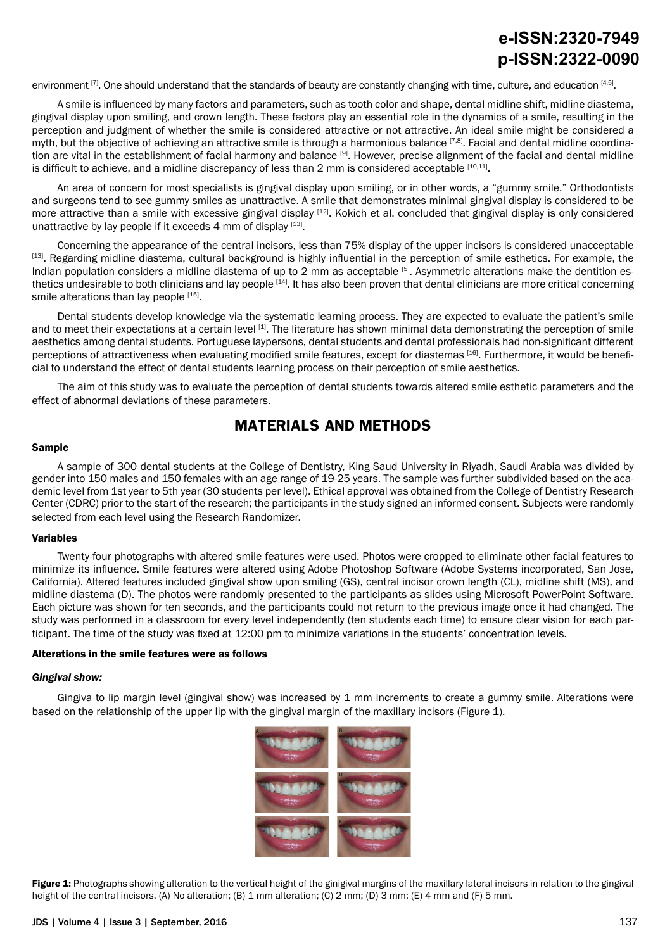environment  $[7]$ . One should understand that the standards of beauty are constantly changing with time, culture, and education  $[4,5]$ .

A smile is influenced by many factors and parameters, such as tooth color and shape, dental midline shift, midline diastema, gingival display upon smiling, and crown length. These factors play an essential role in the dynamics of a smile, resulting in the perception and judgment of whether the smile is considered attractive or not attractive. An ideal smile might be considered a myth, but the objective of achieving an attractive smile is through a harmonious balance [7,8]. Facial and dental midline coordination are vital in the establishment of facial harmony and balance [9]. However, precise alignment of the facial and dental midline is difficult to achieve, and a midline discrepancy of less than 2 mm is considered acceptable [10,11].

An area of concern for most specialists is gingival display upon smiling, or in other words, a "gummy smile." Orthodontists and surgeons tend to see gummy smiles as unattractive. A smile that demonstrates minimal gingival display is considered to be more attractive than a smile with excessive gingival display [12]. Kokich et al. concluded that gingival display is only considered unattractive by lay people if it exceeds 4 mm of display  $[13]$ .

Concerning the appearance of the central incisors, less than 75% display of the upper incisors is considered unacceptable [13]. Regarding midline diastema, cultural background is highly influential in the perception of smile esthetics. For example, the Indian population considers a midline diastema of up to 2 mm as acceptable <sup>[5]</sup>. Asymmetric alterations make the dentition esthetics undesirable to both clinicians and lay people  $[14]$ . It has also been proven that dental clinicians are more critical concerning smile alterations than lay people [15].

Dental students develop knowledge via the systematic learning process. They are expected to evaluate the patient's smile and to meet their expectations at a certain level [1]. The literature has shown minimal data demonstrating the perception of smile aesthetics among dental students. Portuguese laypersons, dental students and dental professionals had non-significant different perceptions of attractiveness when evaluating modified smile features, except for diastemas [16]. Furthermore, it would be beneficial to understand the effect of dental students learning process on their perception of smile aesthetics.

The aim of this study was to evaluate the perception of dental students towards altered smile esthetic parameters and the effect of abnormal deviations of these parameters.

### **MATERIALS AND METHODS**

#### Sample

A sample of 300 dental students at the College of Dentistry, King Saud University in Riyadh, Saudi Arabia was divided by gender into 150 males and 150 females with an age range of 19-25 years. The sample was further subdivided based on the academic level from 1st year to 5th year (30 students per level). Ethical approval was obtained from the College of Dentistry Research Center (CDRC) prior to the start of the research; the participants in the study signed an informed consent. Subjects were randomly selected from each level using the Research Randomizer.

#### Variables

Twenty-four photographs with altered smile features were used. Photos were cropped to eliminate other facial features to minimize its influence. Smile features were altered using Adobe Photoshop Software (Adobe Systems incorporated, San Jose, California). Altered features included gingival show upon smiling (GS), central incisor crown length (CL), midline shift (MS), and midline diastema (D). The photos were randomly presented to the participants as slides using Microsoft PowerPoint Software. Each picture was shown for ten seconds, and the participants could not return to the previous image once it had changed. The study was performed in a classroom for every level independently (ten students each time) to ensure clear vision for each participant. The time of the study was fixed at 12:00 pm to minimize variations in the students' concentration levels.

#### Alterations in the smile features were as follows

#### *Gingival show:*

Gingiva to lip margin level (gingival show) was increased by 1 mm increments to create a gummy smile. Alterations were based on the relationship of the upper lip with the gingival margin of the maxillary incisors (Figure 1).



Figure 1: Photographs showing alteration to the vertical height of the ginigival margins of the maxillary lateral incisors in relation to the gingival height of the central incisors. (A) No alteration; (B) 1 mm alteration; (C) 2 mm; (D) 3 mm; (E) 4 mm and (F) 5 mm.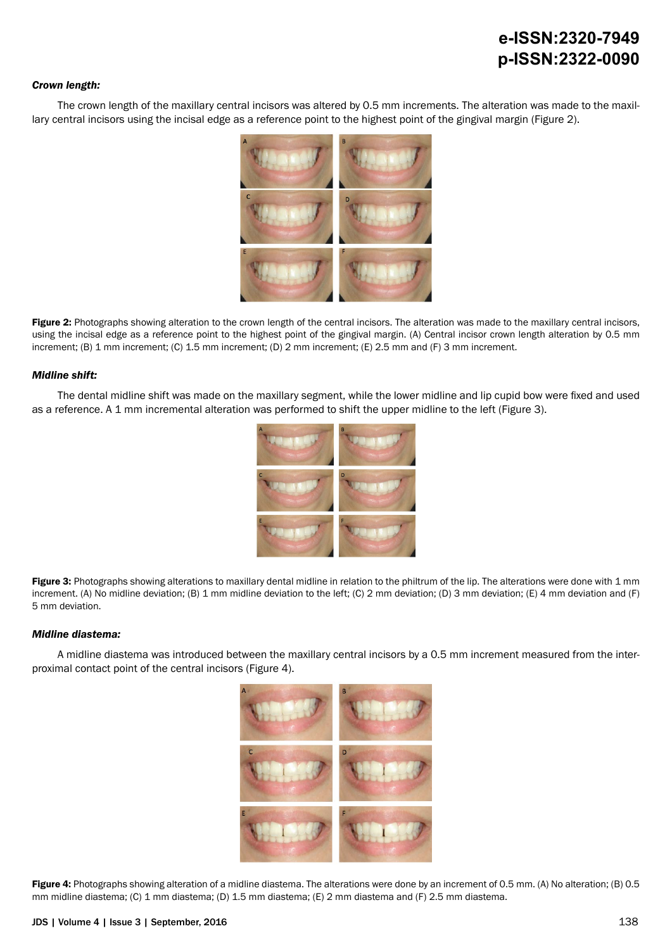#### *Crown length:*

The crown length of the maxillary central incisors was altered by 0.5 mm increments. The alteration was made to the maxillary central incisors using the incisal edge as a reference point to the highest point of the gingival margin (Figure 2).



Figure 2: Photographs showing alteration to the crown length of the central incisors. The alteration was made to the maxillary central incisors, using the incisal edge as a reference point to the highest point of the gingival margin. (A) Central incisor crown length alteration by 0.5 mm increment; (B) 1 mm increment; (C) 1.5 mm increment; (D) 2 mm increment; (E) 2.5 mm and (F) 3 mm increment.

#### *Midline shift:*

The dental midline shift was made on the maxillary segment, while the lower midline and lip cupid bow were fixed and used as a reference. A 1 mm incremental alteration was performed to shift the upper midline to the left (Figure 3).



Figure 3: Photographs showing alterations to maxillary dental midline in relation to the philtrum of the lip. The alterations were done with 1 mm increment. (A) No midline deviation; (B) 1 mm midline deviation to the left; (C) 2 mm deviation; (D) 3 mm deviation; (E) 4 mm deviation and (F) 5 mm deviation.

#### *Midline diastema:*

A midline diastema was introduced between the maxillary central incisors by a 0.5 mm increment measured from the interproximal contact point of the central incisors (Figure 4).



Figure 4: Photographs showing alteration of a midline diastema. The alterations were done by an increment of 0.5 mm. (A) No alteration; (B) 0.5 mm midline diastema; (C) 1 mm diastema; (D) 1.5 mm diastema; (E) 2 mm diastema and (F) 2.5 mm diastema.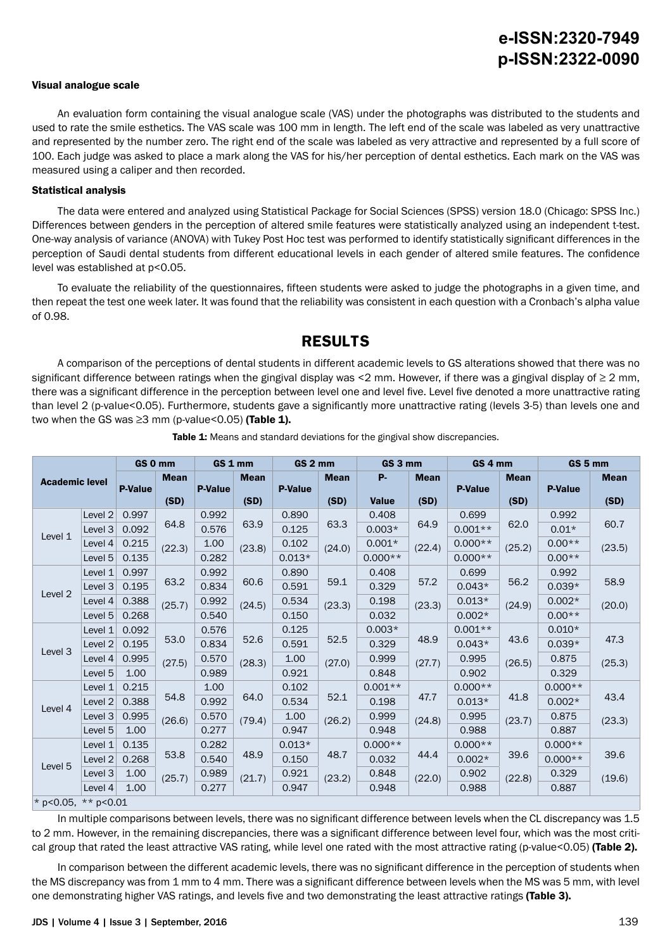#### Visual analogue scale

An evaluation form containing the visual analogue scale (VAS) under the photographs was distributed to the students and used to rate the smile esthetics. The VAS scale was 100 mm in length. The left end of the scale was labeled as very unattractive and represented by the number zero. The right end of the scale was labeled as very attractive and represented by a full score of 100. Each judge was asked to place a mark along the VAS for his/her perception of dental esthetics. Each mark on the VAS was measured using a caliper and then recorded.

#### Statistical analysis

The data were entered and analyzed using Statistical Package for Social Sciences (SPSS) version 18.0 (Chicago: SPSS Inc.) Differences between genders in the perception of altered smile features were statistically analyzed using an independent t-test. One-way analysis of variance (ANOVA) with Tukey Post Hoc test was performed to identify statistically significant differences in the perception of Saudi dental students from different educational levels in each gender of altered smile features. The confidence level was established at p<0.05.

To evaluate the reliability of the questionnaires, fifteen students were asked to judge the photographs in a given time, and then repeat the test one week later. It was found that the reliability was consistent in each question with a Cronbach's alpha value of 0.98.

### **RESULTS**

A comparison of the perceptions of dental students in different academic levels to GS alterations showed that there was no significant difference between ratings when the gingival display was <2 mm. However, if there was a gingival display of  $\geq$  2 mm, there was a significant difference in the perception between level one and level five. Level five denoted a more unattractive rating than level 2 (p-value<0.05). Furthermore, students gave a significantly more unattractive rating (levels 3-5) than levels one and two when the GS was  $\geq$ 3 mm (p-value<0.05) (Table 1).

|                       |                    |                | GS 0 mm        | GS 1 mm         |                | GS <sub>2</sub> mm |                | GS 3 mm      |             | GS <sub>4</sub> mm |             | GS 5 mm        |                |  |
|-----------------------|--------------------|----------------|----------------|-----------------|----------------|--------------------|----------------|--------------|-------------|--------------------|-------------|----------------|----------------|--|
| <b>Academic level</b> |                    |                | <b>Mean</b>    |                 | <b>Mean</b>    |                    | <b>Mean</b>    | <b>P-</b>    | <b>Mean</b> |                    | <b>Mean</b> |                | <b>Mean</b>    |  |
|                       |                    | <b>P-Value</b> |                | <b>P-Value</b>  |                | <b>P-Value</b>     |                |              |             | <b>P-Value</b>     |             | <b>P-Value</b> |                |  |
|                       |                    |                | (SD)           |                 | (SD)           |                    | (SD)           | <b>Value</b> | (SD)        |                    | (SD)        |                | (SD)           |  |
|                       | Level 2            | 0.997          |                | 0.992           |                | 0.890              |                | 0.408        |             | 0.699              |             | 0.992          | 60.7           |  |
| Level 1               | Level 3            | 0.092          | 64.8           | 0.576           | 63.9<br>(23.8) | 0.125              | 63.3<br>(24.0) | $0.003*$     | 64.9        | $0.001**$          | 62.0        | $0.01*$        |                |  |
|                       | Level 4            | 0.215          | (22.3)         | 1.00            |                | 0.102              |                | $0.001*$     | (22.4)      | $0.000**$          | (25.2)      | $0.00**$       | (23.5)         |  |
|                       | Level 5            | 0.135          |                | 0.282           |                | $0.013*$           |                | $0.000**$    |             | $0.000**$          |             | $0.00**$       |                |  |
|                       | Level 1            | 0.997          |                | 0.992           |                | 0.890              |                | 0.408        |             | 0.699              |             | 0.992          |                |  |
|                       | Level 3            | 0.195          | 63.2           | 0.834           | 60.6           | 0.591              | 59.1           | 0.329        | 57.2        | $0.043*$           | 56.2        | $0.039*$       | 58.9           |  |
| Level <sub>2</sub>    | Level 4            | 0.388          | (25.7)         | 0.992           | (24.5)         | 0.534              | (23.3)         | 0.198        | (23.3)      | $0.013*$           | (24.9)      | $0.002*$       | (20.0)         |  |
|                       | Level 5            | 0.268          |                | 0.540           |                | 0.150              |                | 0.032        |             | $0.002*$           |             | $0.00**$       |                |  |
|                       | Level 1            | 0.092          | 53.0<br>(27.5) |                 | 0.576          |                    | 0.125          |              | $0.003*$    |                    | $0.001**$   |                | $0.010*$       |  |
| Level 3               | Level 2            | 0.195          |                | 0.834           | 52.6           | 0.591              | 52.5           | 0.329        | 48.9        | $0.043*$           | 43.6        | $0.039*$       | 47.3           |  |
|                       | Level 4            | 0.995          |                | 0.570<br>(28.3) | 1.00           | (27.0)             | 0.999          | (27.7)       | 0.995       | (26.5)             | 0.875       | (25.3)         |                |  |
|                       | Level 5            | 1.00           |                | 0.989           |                | 0.921              |                | 0.848        |             | 0.902              |             | 0.329          |                |  |
|                       | Level 1            | 0.215          |                | 1.00            |                | 0.102              |                | $0.001**$    |             | $0.000**$          |             | $0.000**$      |                |  |
| Level 4               | Level 2            | 0.388          | 54.8           | 0.992           | 64.0           | 0.534              | 52.1           | 0.198        | 47.7        | $0.013*$           | 41.8        | $0.002*$       | 43.4           |  |
|                       | Level <sub>3</sub> | 0.995          | (26.6)         | 0.570           | (79.4)         | 1.00               | (26.2)         | 0.999        | (24.8)      | 0.995              | (23.7)      | 0.875          | (23.3)         |  |
|                       | Level 5            | 1.00           |                | 0.277           |                | 0.947              |                | 0.948        |             | 0.988              |             | 0.887          |                |  |
|                       | Level 1            | 0.135          |                | 0.282           |                | $0.013*$           |                | $0.000**$    |             | $0.000**$          |             | $0.000**$      | 39.6<br>(19.6) |  |
|                       | Level 2            | 0.268          | 53.8           | 0.540           | 48.9           | 0.150              | 48.7           | 0.032        | 44.4        | $0.002*$           | 39.6        | $0.000**$      |                |  |
| Level 5               | Level 3            | 1.00           | (25.7)         | 0.989           | (21.7)         | 0.921              | (23.2)         | 0.848        | (22.0)      | 0.902              | (22.8)      | 0.329          |                |  |
|                       | Level 4            | 1.00           |                | 0.277           |                | 0.947              |                | 0.948        |             | 0.988              |             | 0.887          |                |  |
| * p<0.05, ** p<0.01   |                    |                |                |                 |                |                    |                |              |             |                    |             |                |                |  |

Table 1: Means and standard deviations for the gingival show discrepancies.

In multiple comparisons between levels, there was no significant difference between levels when the CL discrepancy was 1.5 to 2 mm. However, in the remaining discrepancies, there was a significant difference between level four, which was the most critical group that rated the least attractive VAS rating, while level one rated with the most attractive rating (p-value<0.05) (Table 2).

In comparison between the different academic levels, there was no significant difference in the perception of students when the MS discrepancy was from 1 mm to 4 mm. There was a significant difference between levels when the MS was 5 mm, with level one demonstrating higher VAS ratings, and levels five and two demonstrating the least attractive ratings (Table 3).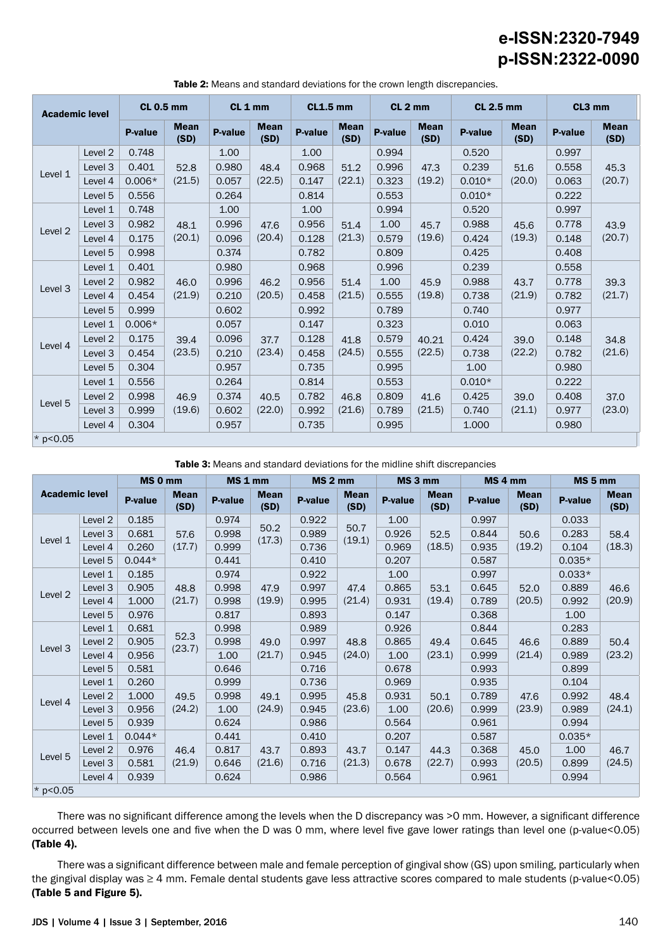| <b>Academic level</b> |                    | <b>CL 0.5 mm</b> |                     | CL <sub>1</sub> mm |                                          | <b>CL1.5 mm</b> |                     | CL <sub>2</sub> mm |                     | <b>CL 2.5 mm</b> |                     | CL3 mm  |                     |
|-----------------------|--------------------|------------------|---------------------|--------------------|------------------------------------------|-----------------|---------------------|--------------------|---------------------|------------------|---------------------|---------|---------------------|
|                       |                    | P-value          | <b>Mean</b><br>(SD) | <b>P-value</b>     | <b>Mean</b><br>(SD)                      | P-value         | <b>Mean</b><br>(SD) | P-value            | <b>Mean</b><br>(SD) | P-value          | <b>Mean</b><br>(SD) | P-value | <b>Mean</b><br>(SD) |
|                       | Level <sub>2</sub> | 0.748            |                     | 1.00               | 1.00<br>0.968<br>48.4<br>(22.5)<br>0.147 |                 |                     | 0.994              |                     | 0.520            |                     | 0.997   | 45.3                |
| Level 1               | Level 3            | 0.401            | 52.8                | 0.980              |                                          |                 | 51.2                | 0.996              | 47.3                | 0.239            | 51.6                | 0.558   |                     |
|                       | Level 4            | $0.006*$         | (21.5)              | 0.057              |                                          | (22.1)          | 0.323               | (19.2)             | $0.010*$            | (20.0)           | 0.063               | (20.7)  |                     |
|                       | Level 5            | 0.556            |                     | 0.264              |                                          | 0.814           |                     | 0.553              |                     | $0.010*$         |                     | 0.222   |                     |
|                       | Level 1            | 0.748            |                     | 1.00               |                                          | 1.00            |                     | 0.994              |                     | 0.520            |                     | 0.997   |                     |
| Level 2               | Level 3            | 0.982            | 48.1                | 0.996              | 47.6                                     | 0.956<br>0.128  | 51.4<br>(21.3)      | 1.00               | 45.7                | 0.988            | 45.6<br>(19.3)      | 0.778   | 43.9<br>(20.7)      |
|                       | Level 4            | 0.175            | (20.1)              | 0.096              | (20.4)                                   |                 |                     | 0.579              | (19.6)              | 0.424            |                     | 0.148   |                     |
|                       | Level 5            | 0.998            |                     | 0.374              |                                          | 0.782           |                     | 0.809              |                     | 0.425            |                     | 0.408   |                     |
|                       | Level 1            | 0.401            | 46.0<br>(21.9)      | 0.980              | 46.2<br>(20.5)                           | 0.968           | 51.4<br>(21.5)      | 0.996              |                     | 0.239            |                     | 0.558   | 39.3<br>(21.7)      |
| Level <sub>3</sub>    | Level 2            | 0.982            |                     | 0.996              |                                          | 0.956           |                     | 1.00               | 45.9<br>(19.8)      | 0.988            | 43.7                | 0.778   |                     |
|                       | Level 4            | 0.454            |                     | 0.210              |                                          | 0.458           |                     | 0.555              |                     | 0.738            | (21.9)              | 0.782   |                     |
|                       | Level 5            | 0.999            |                     | 0.602              |                                          | 0.992           |                     | 0.789              |                     | 0.740            |                     | 0.977   |                     |
|                       | Level 1            | $0.006*$         |                     | 0.057              |                                          | 0.147           |                     | 0.323              |                     | 0.010            |                     | 0.063   | 34.8                |
| Level 4               | Level <sub>2</sub> | 0.175            | 39.4                | 0.096              | 37.7                                     | 0.128           | 41.8                | 0.579              | 40.21               | 0.424            | 39.0                | 0.148   |                     |
|                       | Level 3            | 0.454            | (23.5)              | 0.210              | (23.4)                                   | 0.458           | (24.5)              | 0.555              | (22.5)              | 0.738            | (22.2)              | 0.782   | (21.6)              |
|                       | Level 5            | 0.304            |                     | 0.957              |                                          | 0.735           |                     | 0.995              |                     | 1.00             |                     | 0.980   |                     |
|                       | Level 1            | 0.556            |                     | 0.264              |                                          | 0.814           |                     | 0.553              |                     | $0.010*$         |                     | 0.222   |                     |
| Level 5               | Level <sub>2</sub> | 0.998            | 46.9                | 0.374              | 40.5                                     | 0.782           | 46.8                | 0.809              | 41.6                | 0.425            | 39.0<br>(21.1)      | 0.408   | 37.0                |
|                       | Level 3            | 0.999            | (19.6)              | 0.602              | (22.0)                                   | 0.992           | (21.6)              | 0.789              | (21.5)              | 0.740            |                     | 0.977   | (23.0)              |
|                       | Level 4            | 0.304            |                     | 0.957              | 0.735                                    |                 |                     | 0.995              |                     | 1.000            |                     | 0.980   |                     |
| * $p < 0.05$          |                    |                  |                     |                    |                                          |                 |                     |                    |                     |                  |                     |         |                     |

Table 2: Means and standard deviations for the crown length discrepancies.

Table 3: Means and standard deviations for the midline shift discrepancies

|                       |         | MS 0 mm  |                     | MS <sub>1</sub> mm |                     | MS <sub>2</sub> mm |                     | MS 3 mm |                     | MS <sub>4</sub> mm |                     | MS <sub>5</sub> mm |                     |
|-----------------------|---------|----------|---------------------|--------------------|---------------------|--------------------|---------------------|---------|---------------------|--------------------|---------------------|--------------------|---------------------|
| <b>Academic level</b> |         | P-value  | <b>Mean</b><br>(SD) | <b>P-value</b>     | <b>Mean</b><br>(SD) | <b>P-value</b>     | <b>Mean</b><br>(SD) | P-value | <b>Mean</b><br>(SD) | <b>P-value</b>     | <b>Mean</b><br>(SD) | P-value            | <b>Mean</b><br>(SD) |
|                       | Level 2 | 0.185    | 57.6                | 0.974              |                     | 0.922              |                     | 1.00    | 52.5                | 0.997              |                     | 0.033              | 58.4                |
| Level 1               | Level 3 | 0.681    |                     | 0.998              | 50.2<br>(17.3)      | 0.989              | 50.7<br>(19.1)      | 0.926   |                     | 0.844              | 50.6<br>(19.2)      | 0.283              |                     |
|                       | Level 4 | 0.260    | (17.7)              | 0.999              |                     | 0.736              |                     | 0.969   | (18.5)              | 0.935              |                     | 0.104              | (18.3)              |
|                       | Level 5 | $0.044*$ |                     | 0.441              |                     | 0.410              |                     | 0.207   |                     | 0.587              |                     | $0.035*$           |                     |
|                       | Level 1 | 0.185    |                     | 0.974              |                     | 0.922              |                     | 1.00    |                     | 0.997              |                     | $0.033*$           |                     |
|                       | Level 3 | 0.905    | 48.8                | 0.998              | 47.9                | 0.997              | 47.4<br>(21.4)      | 0.865   | 53.1                | 0.645              | 52.0<br>(20.5)      | 0.889              | 46.6<br>(20.9)      |
| Level <sub>2</sub>    | Level 4 | 1.000    | (21.7)              | 0.998              | (19.9)              | 0.995              |                     | 0.931   | (19.4)              | 0.789              |                     | 0.992              |                     |
|                       | Level 5 | 0.976    |                     | 0.817              |                     | 0.893              |                     | 0.147   |                     | 0.368              |                     | 1.00               |                     |
|                       | Level 1 | 0.681    | 52.3<br>(23.7)      | 0.998              |                     | 0.989              |                     | 0.926   | 49.4<br>(23.1)      | 0.844              |                     | 0.283              | 50.4<br>(23.2)      |
|                       | Level 2 | 0.905    |                     | 0.998              | 49.0<br>(21.7)      | 0.997              | 48.8<br>(24.0)      | 0.865   |                     | 0.645              | 46.6<br>(21.4)      | 0.889              |                     |
| Level 3               | Level 4 | 0.956    |                     | 1.00               |                     | 0.945              |                     | 1.00    |                     | 0.999              |                     | 0.989              |                     |
|                       | Level 5 | 0.581    |                     | 0.646              |                     | 0.716              |                     | 0.678   |                     | 0.993              |                     | 0.899              |                     |
|                       | Level 1 | 0.260    |                     | 0.999              |                     | 0.736              |                     | 0.969   |                     | 0.935              |                     | 0.104              |                     |
|                       | Level 2 | 1.000    | 49.5                | 0.998              | 49.1                | 0.995              | 45.8                | 0.931   | 50.1                | 0.789              | 47.6                | 0.992              | 48.4                |
| Level 4               | Level 3 | 0.956    | (24.2)              | 1.00               | (24.9)              | 0.945              | (23.6)              | 1.00    | (20.6)              | 0.999              | (23.9)              | 0.989              | (24.1)              |
|                       | Level 5 | 0.939    |                     | 0.624              |                     | 0.986              |                     | 0.564   |                     | 0.961              |                     | 0.994              |                     |
|                       | Level 1 | $0.044*$ |                     | 0.441              |                     | 0.410              |                     | 0.207   |                     | 0.587              |                     | $0.035*$           | 46.7<br>(24.5)      |
|                       | Level 2 | 0.976    | 46.4                | 0.817              | 43.7                | 0.893              | 43.7                | 0.147   | 44.3<br>(22.7)      | 0.368              | 45.0                | 1.00               |                     |
| Level 5               | Level 3 | 0.581    | (21.9)              | 0.646              | (21.6)              | 0.716              | (21.3)              | 0.678   |                     | 0.993              | (20.5)              | 0.899              |                     |
|                       | Level 4 | 0.939    |                     | 0.624              |                     | 0.986              |                     | 0.564   |                     | 0.961              |                     | 0.994              |                     |
| $*$ p<0.05            |         |          |                     |                    |                     |                    |                     |         |                     |                    |                     |                    |                     |

There was no significant difference among the levels when the D discrepancy was >0 mm. However, a significant difference occurred between levels one and five when the D was 0 mm, where level five gave lower ratings than level one (p-value<0.05) (Table 4).

There was a significant difference between male and female perception of gingival show (GS) upon smiling, particularly when the gingival display was ≥ 4 mm. Female dental students gave less attractive scores compared to male students (p-value<0.05) (Table 5 and Figure 5).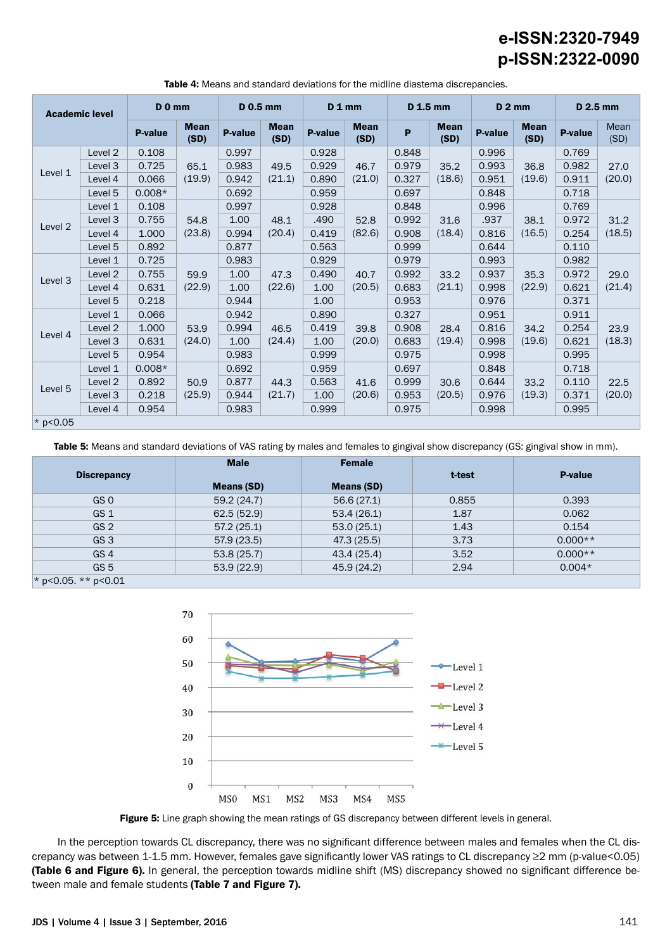| <b>Academic level</b> |                    | $D$ 0 mm |                     | <b>D</b> 0.5 mm |                     | $D_1$ <sub>mm</sub> |                     | D 1.5 mm |                     | $D2$ mm        |                     | D 2.5 mm       |                |
|-----------------------|--------------------|----------|---------------------|-----------------|---------------------|---------------------|---------------------|----------|---------------------|----------------|---------------------|----------------|----------------|
|                       |                    | P-value  | <b>Mean</b><br>(SD) | <b>P-value</b>  | <b>Mean</b><br>(SD) | <b>P-value</b>      | <b>Mean</b><br>(SD) | P        | <b>Mean</b><br>(SD) | <b>P-value</b> | <b>Mean</b><br>(SD) | <b>P-value</b> | Mean<br>(SD)   |
|                       | Level <sub>2</sub> | 0.108    |                     | 0.997           | 49.5                | 0.928               |                     | 0.848    |                     | 0.996          | 36.8                | 0.769          |                |
| Level 1               | Level 3            | 0.725    | 65.1                | 0.983           |                     | 0.929               | 46.7                | 0.979    | 35.2                | 0.993          |                     | 0.982          | 27.0           |
|                       | Level 4            | 0.066    | (19.9)              | 0.942           | (21.1)              | 0.890               | (21.0)              | 0.327    | (18.6)              | 0.951          | (19.6)              | 0.911          | (20.0)         |
|                       | Level 5            | $0.008*$ |                     | 0.692           |                     | 0.959               |                     | 0.697    |                     | 0.848          |                     | 0.718          |                |
|                       | Level 1            | 0.108    |                     | 0.997           |                     | 0.928               |                     | 0.848    |                     | 0.996          |                     | 0.769          |                |
| Level <sub>2</sub>    | Level 3            | 0.755    | 54.8                | 1.00            | 48.1                | .490<br>0.419       | 52.8                | 0.992    | 31.6                | .937           | 38.1                | 0.972          | 31.2           |
|                       | Level 4            | 1.000    | (23.8)              | 0.994           | (20.4)              |                     | (82.6)              | 0.908    | (18.4)              | 0.816          | (16.5)              | 0.254          | (18.5)         |
|                       | Level 5            | 0.892    |                     | 0.877           |                     | 0.563               |                     | 0.999    |                     | 0.644          |                     | 0.110          |                |
|                       | Level 1            | 0.725    | 59.9<br>(22.9)      | 0.983           |                     | 0.929               | 40.7<br>(20.5)      | 0.979    | 33.2<br>(21.1)      | 0.993          | 35.3<br>(22.9)      | 0.982          | 29.0<br>(21.4) |
|                       | Level 2            | 0.755    |                     | 1.00            | 47.3<br>(22.6)      | 0.490               |                     | 0.992    |                     | 0.937          |                     | 0.972          |                |
| Level 3               | Level 4            | 0.631    |                     | 1.00            |                     | 1.00                |                     | 0.683    |                     | 0.998          |                     | 0.621          |                |
|                       | Level 5            | 0.218    |                     | 0.944           |                     | 1.00                |                     | 0.953    |                     | 0.976          |                     | 0.371          |                |
|                       | Level 1            | 0.066    |                     | 0.942           |                     | 0.890               |                     | 0.327    |                     | 0.951          |                     | 0.911          |                |
|                       | Level <sub>2</sub> | 1.000    | 53.9                | 0.994           | 46.5                | 0.419               | 39.8                | 0.908    | 28.4                | 0.816          | 34.2                | 0.254          | 23.9           |
| Level 4               | Level 3            | 0.631    | (24.0)              | 1.00            | (24.4)              | 1.00                | (20.0)              | 0.683    | (19.4)              | 0.998          | (19.6)              | 0.621          | (18.3)         |
|                       | Level 5            | 0.954    |                     | 0.983           |                     | 0.999               |                     | 0.975    |                     | 0.998          |                     | 0.995          |                |
|                       | Level 1            | $0.008*$ |                     | 0.692           |                     | 0.959               |                     | 0.697    |                     | 0.848          |                     | 0.718          | 22.5<br>(20.0) |
|                       | Level <sub>2</sub> | 0.892    | 50.9                | 0.877           | 44.3                | 0.563               | 41.6                | 0.999    | 30.6                | 0.644          | 33.2<br>(19.3)      | 0.110          |                |
| Level 5               | Level 3            | 0.218    | (25.9)              | 0.944           | (21.7)              | 1.00                | (20.6)              | 0.953    | (20.5)              | 0.976          |                     | 0.371          |                |
|                       | Level 4            | 0.954    |                     | 0.983           |                     | 0.999               |                     | 0.975    |                     | 0.998          |                     | 0.995          |                |
| * $p < 0.05$          |                    |          |                     |                 |                     |                     |                     |          |                     |                |                     |                |                |

Table 4: Means and standard deviations for the midline diastema discrepancies.

Table 5: Means and standard deviations of VAS rating by males and females to gingival show discrepancy (GS: gingival show in mm).

|                              | <b>Male</b>       | <b>Female</b>     |        |                |  |
|------------------------------|-------------------|-------------------|--------|----------------|--|
| <b>Discrepancy</b>           | <b>Means (SD)</b> | <b>Means (SD)</b> | t-test | <b>P-value</b> |  |
| GS 0                         | 59.2(24.7)        | 56.6(27.1)        | 0.855  | 0.393          |  |
| GS <sub>1</sub>              | 62.5(52.9)        | 53.4(26.1)        | 1.87   | 0.062          |  |
| GS <sub>2</sub>              | 57.2(25.1)        | 53.0(25.1)        | 1.43   | 0.154          |  |
| GS <sub>3</sub>              | 57.9 (23.5)       | 47.3 (25.5)       | 3.73   | $0.000**$      |  |
| GS <sub>4</sub>              | 53.8(25.7)        | 43.4 (25.4)       | 3.52   | $0.000**$      |  |
| GS <sub>5</sub>              | 53.9(22.9)        | 45.9 (24.2)       | 2.94   | $0.004*$       |  |
| * $p < 0.05$ . ** $p < 0.01$ |                   |                   |        |                |  |



Figure 5: Line graph showing the mean ratings of GS discrepancy between different levels in general.

In the perception towards CL discrepancy, there was no significant difference between males and females when the CL discrepancy was between 1-1.5 mm. However, females gave significantly lower VAS ratings to CL discrepancy ≥2 mm (p-value<0.05) (Table 6 and Figure 6). In general, the perception towards midline shift (MS) discrepancy showed no significant difference between male and female students (Table 7 and Figure 7).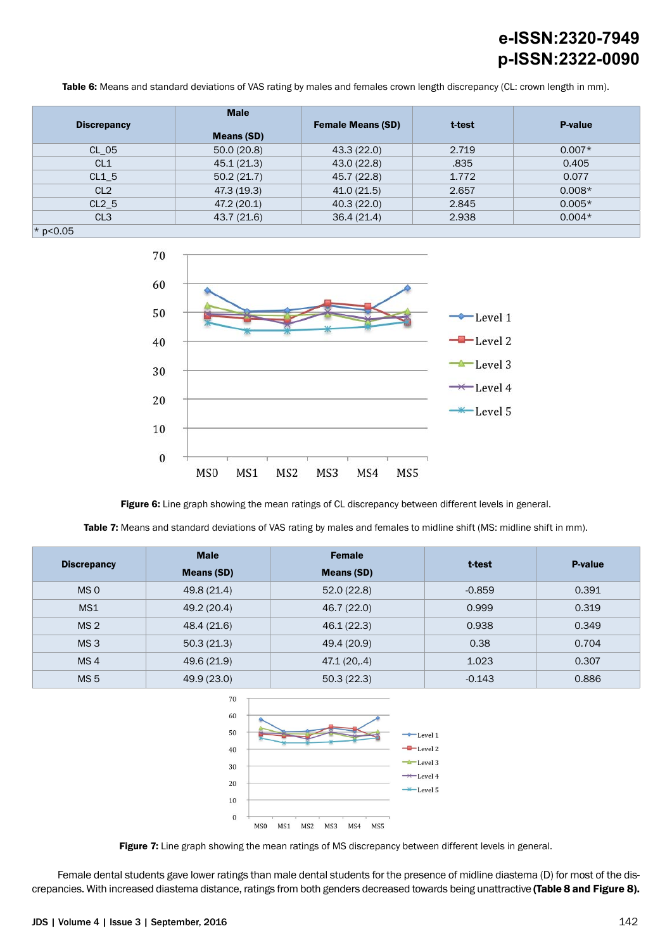Table 6: Means and standard deviations of VAS rating by males and females crown length discrepancy (CL: crown length in mm).

| <b>Discrepancy</b> | <b>Male</b>       | <b>Female Means (SD)</b> | t-test | <b>P-value</b> |
|--------------------|-------------------|--------------------------|--------|----------------|
|                    | <b>Means (SD)</b> |                          |        |                |
| CL 05              | 50.0(20.8)        | 43.3(22.0)               | 2.719  | $0.007*$       |
| CL1                | 45.1(21.3)        | 43.0(22.8)               | .835   | 0.405          |
| $CL1_5$            | 50.2(21.7)        | 45.7 (22.8)              | 1.772  | 0.077          |
| CL <sub>2</sub>    | 47.3 (19.3)       | 41.0(21.5)               | 2.657  | $0.008*$       |
| $CL2_5$            | 47.2 (20.1)       | 40.3(22.0)               | 2.845  | $0.005*$       |
| CL <sub>3</sub>    | 43.7 (21.6)       | 36.4(21.4)               | 2.938  | $0.004*$       |
| $*$ p<0.05         |                   |                          |        |                |



Figure 6: Line graph showing the mean ratings of CL discrepancy between different levels in general.

Table 7: Means and standard deviations of VAS rating by males and females to midline shift (MS: midline shift in mm).

|                    | <b>Male</b>       | <b>Female</b>     |          | P-value |
|--------------------|-------------------|-------------------|----------|---------|
| <b>Discrepancy</b> | <b>Means (SD)</b> | <b>Means (SD)</b> | t-test   |         |
| MS <sub>0</sub>    | 49.8 (21.4)       | 52.0(22.8)        | $-0.859$ | 0.391   |
| MS1                | 49.2 (20.4)       | 46.7 (22.0)       | 0.999    | 0.319   |
| MS <sub>2</sub>    | 48.4 (21.6)       | 46.1 (22.3)       | 0.938    | 0.349   |
| MS <sub>3</sub>    | 50.3(21.3)        | 49.4 (20.9)       | 0.38     | 0.704   |
| MS <sub>4</sub>    | 49.6 (21.9)       | 47.1(20, 4)       | 1.023    | 0.307   |
| MS <sub>5</sub>    | 49.9 (23.0)       | 50.3(22.3)        | $-0.143$ | 0.886   |



Figure 7: Line graph showing the mean ratings of MS discrepancy between different levels in general.

Female dental students gave lower ratings than male dental students for the presence of midline diastema (D) for most of the discrepancies. With increased diastema distance, ratings from both genders decreased towards being unattractive (Table 8 and Figure 8).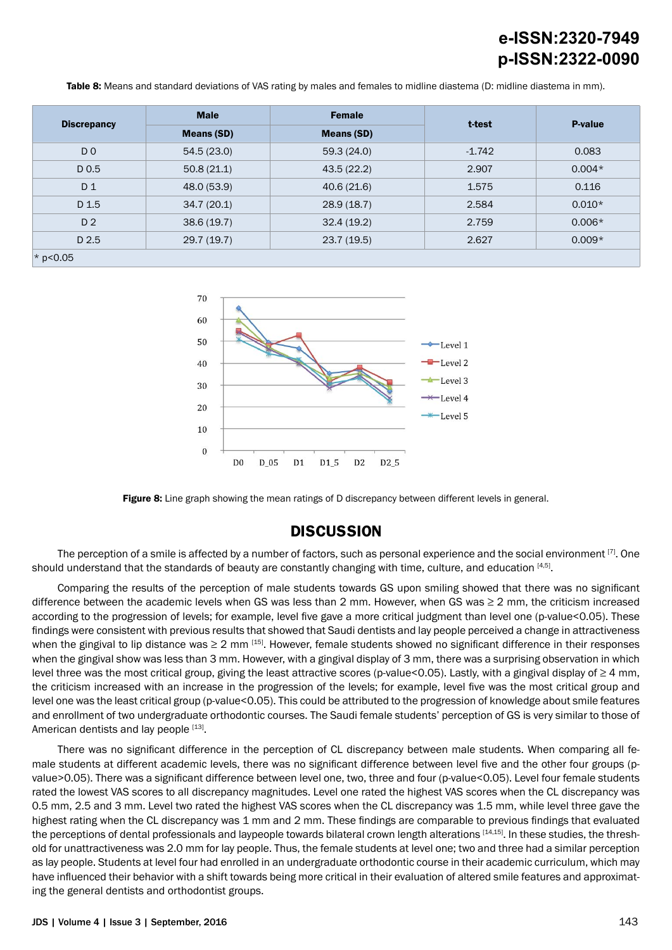Table 8: Means and standard deviations of VAS rating by males and females to midline diastema (D: midline diastema in mm).

|                    | <b>Male</b>       | <b>Female</b>     | t-test   | <b>P-value</b> |  |
|--------------------|-------------------|-------------------|----------|----------------|--|
| <b>Discrepancy</b> | <b>Means (SD)</b> | <b>Means (SD)</b> |          |                |  |
| D <sub>0</sub>     | 54.5(23.0)        | 59.3(24.0)        | $-1.742$ | 0.083          |  |
| D <sub>0.5</sub>   | 50.8(21.1)        | 43.5(22.2)        | 2.907    | $0.004*$       |  |
| D 1                | 48.0 (53.9)       | 40.6(21.6)        | 1.575    | 0.116          |  |
| D 1.5              | 34.7(20.1)        | 28.9(18.7)        | 2.584    | $0.010*$       |  |
| D <sub>2</sub>     | 38.6(19.7)        | 32.4(19.2)        | 2.759    | $0.006*$       |  |
| D 2.5              | 29.7(19.7)        | 23.7(19.5)        | 2.627    | $0.009*$       |  |
| $*$ p<0.05         |                   |                   |          |                |  |





### **DISCUSSION**

The perception of a smile is affected by a number of factors, such as personal experience and the social environment  $[7]$ . One should understand that the standards of beauty are constantly changing with time, culture, and education [4,5].

Comparing the results of the perception of male students towards GS upon smiling showed that there was no significant difference between the academic levels when GS was less than 2 mm. However, when GS was  $\geq 2$  mm, the criticism increased according to the progression of levels; for example, level five gave a more critical judgment than level one (p-value<0.05). These findings were consistent with previous results that showed that Saudi dentists and lay people perceived a change in attractiveness when the gingival to lip distance was  $\geq 2$  mm  $^{[15]}$ . However, female students showed no significant difference in their responses when the gingival show was less than 3 mm. However, with a gingival display of 3 mm, there was a surprising observation in which level three was the most critical group, giving the least attractive scores (p-value<0.05). Lastly, with a gingival display of ≥ 4 mm, the criticism increased with an increase in the progression of the levels; for example, level five was the most critical group and level one was the least critical group (p-value<0.05). This could be attributed to the progression of knowledge about smile features and enrollment of two undergraduate orthodontic courses. The Saudi female students' perception of GS is very similar to those of American dentists and lay people [13].

There was no significant difference in the perception of CL discrepancy between male students. When comparing all female students at different academic levels, there was no significant difference between level five and the other four groups (pvalue>0.05). There was a significant difference between level one, two, three and four (p-value<0.05). Level four female students rated the lowest VAS scores to all discrepancy magnitudes. Level one rated the highest VAS scores when the CL discrepancy was 0.5 mm, 2.5 and 3 mm. Level two rated the highest VAS scores when the CL discrepancy was 1.5 mm, while level three gave the highest rating when the CL discrepancy was 1 mm and 2 mm. These findings are comparable to previous findings that evaluated the perceptions of dental professionals and laypeople towards bilateral crown length alterations [14,15]. In these studies, the threshold for unattractiveness was 2.0 mm for lay people. Thus, the female students at level one; two and three had a similar perception as lay people. Students at level four had enrolled in an undergraduate orthodontic course in their academic curriculum, which may have influenced their behavior with a shift towards being more critical in their evaluation of altered smile features and approximating the general dentists and orthodontist groups.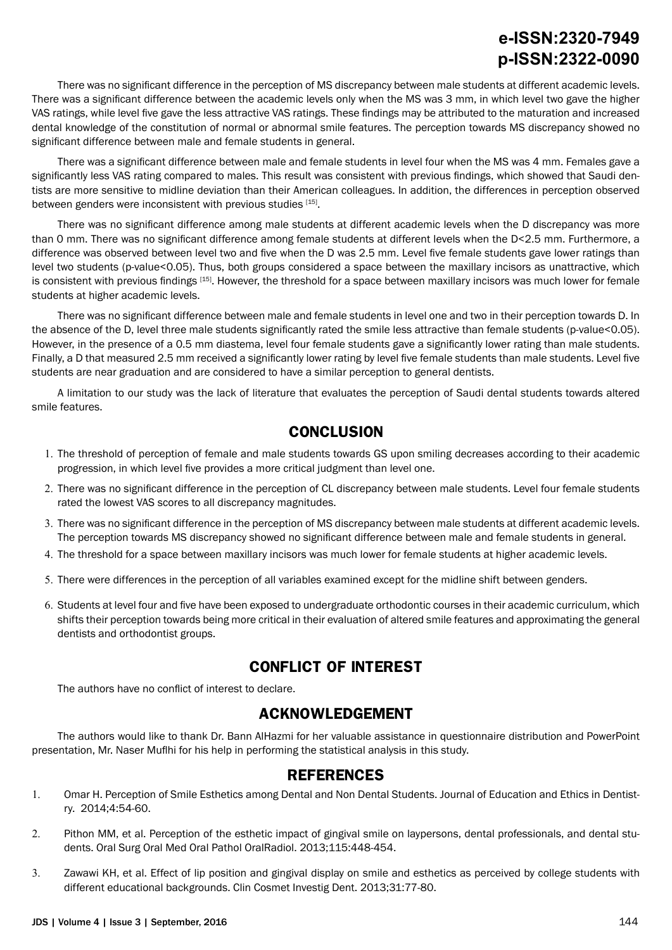There was no significant difference in the perception of MS discrepancy between male students at different academic levels. There was a significant difference between the academic levels only when the MS was 3 mm, in which level two gave the higher VAS ratings, while level five gave the less attractive VAS ratings. These findings may be attributed to the maturation and increased dental knowledge of the constitution of normal or abnormal smile features. The perception towards MS discrepancy showed no significant difference between male and female students in general.

There was a significant difference between male and female students in level four when the MS was 4 mm. Females gave a significantly less VAS rating compared to males. This result was consistent with previous findings, which showed that Saudi dentists are more sensitive to midline deviation than their American colleagues. In addition, the differences in perception observed between genders were inconsistent with previous studies [15].

There was no significant difference among male students at different academic levels when the D discrepancy was more than 0 mm. There was no significant difference among female students at different levels when the D<2.5 mm. Furthermore, a difference was observed between level two and five when the D was 2.5 mm. Level five female students gave lower ratings than level two students (p-value<0.05). Thus, both groups considered a space between the maxillary incisors as unattractive, which is consistent with previous findings [15]. However, the threshold for a space between maxillary incisors was much lower for female students at higher academic levels.

There was no significant difference between male and female students in level one and two in their perception towards D. In the absence of the D, level three male students significantly rated the smile less attractive than female students (p-value<0.05). However, in the presence of a 0.5 mm diastema, level four female students gave a significantly lower rating than male students. Finally, a D that measured 2.5 mm received a significantly lower rating by level five female students than male students. Level five students are near graduation and are considered to have a similar perception to general dentists.

A limitation to our study was the lack of literature that evaluates the perception of Saudi dental students towards altered smile features.

### **CONCLUSION**

- 1. The threshold of perception of female and male students towards GS upon smiling decreases according to their academic progression, in which level five provides a more critical judgment than level one.
- 2. There was no significant difference in the perception of CL discrepancy between male students. Level four female students rated the lowest VAS scores to all discrepancy magnitudes.
- 3. There was no significant difference in the perception of MS discrepancy between male students at different academic levels. The perception towards MS discrepancy showed no significant difference between male and female students in general.
- 4. The threshold for a space between maxillary incisors was much lower for female students at higher academic levels.
- 5. There were differences in the perception of all variables examined except for the midline shift between genders.
- 6. Students at level four and five have been exposed to undergraduate orthodontic courses in their academic curriculum, which shifts their perception towards being more critical in their evaluation of altered smile features and approximating the general dentists and orthodontist groups.

### **CONFLICT OF INTEREST**

The authors have no conflict of interest to declare.

### **ACKNOWLEDGEMENT**

The authors would like to thank Dr. Bann AlHazmi for her valuable assistance in questionnaire distribution and PowerPoint presentation, Mr. Naser Muflhi for his help in performing the statistical analysis in this study.

### **REFERENCES**

- 1. Omar H. Perception of Smile Esthetics among Dental and Non Dental Students. Journal of Education and Ethics in Dentistry. 2014;4:54-60.
- 2. Pithon MM, et al. Perception of the esthetic impact of gingival smile on laypersons, dental professionals, and dental students. Oral Surg Oral Med Oral Pathol OralRadiol. 2013;115:448-454.
- 3. Zawawi KH, et al. Effect of lip position and gingival display on smile and esthetics as perceived by college students with different educational backgrounds. Clin Cosmet Investig Dent. 2013;31:77-80.